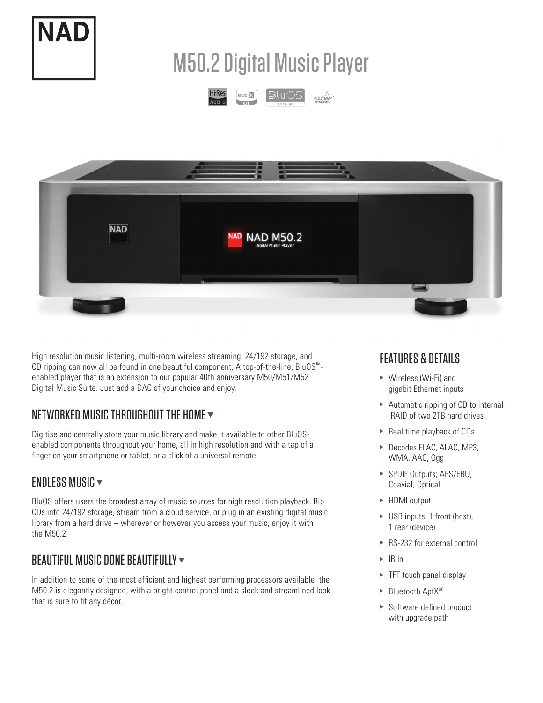

# M50.2 Digital Music Player





High resolution music listening, multi-room wireless streaming, 24/192 storage, and CD ripping can now all be found in one beautiful component. A top-of-the-line, BluOS™ enabled player that is an extension to our popular 40th anniversary M50/M51/M52 Digital Music Suite. Just add a DAC of your choice and enjoy.

## NETWORKED MUSIC THROUGHOUT THE HOME  $\blacktriangledown$

Digitise and centrally store your music library and make it available to other BluOSenabled components throughout your home, all in high resolution and with a tap of a finger on your smartphone or tablet, or a click of a universal remote.

## ENDLESS MUSIC  $\blacktriangledown$

BluOS offers users the broadest array of music sources for high resolution playback. Rip CDs into 24/192 storage, stream from a cloud service, or plug in an existing digital music library from a hard drive – wherever or however you access your music, enjoy it with the M50.2

## BEAUTIFUL MUSIC DONE BEAUTIFULLY  $\blacktriangledown$

In addition to some of the most efficient and highest performing processors available, the M50.2 is elegantly designed, with a bright control panel and a sleek and streamlined look that is sure to fit any décor.

## FEATURES & DETAILS

- $\triangleright$  Wireless (Wi-Fi) and gigabit Ethernet inputs
- $\triangleright$  Automatic ripping of CD to internal RAID of two 2TB hard drives
- $\blacktriangleright$  Real time playback of CDs
- ▶ Decodes FLAC, ALAC, MP3, WMA, AAC, Ogg
- ▶ SPDIF Outputs; AES/EBU, Coaxial, Optical
- ▶ HDMI output
- $\triangleright$  USB inputs, 1 front (host), 1 rear (device)
- $\triangleright$  RS-232 for external control
- $\triangleright$  IR In
- $\blacktriangleright$  TFT touch panel display
- $\blacktriangleright$  Bluetooth AptX®
- $\triangleright$  Software defined product with upgrade path